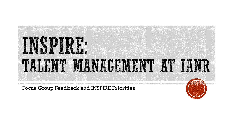

Focus Group Feedback and INSPIRE Priorities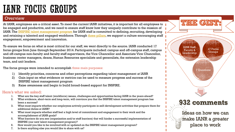# **IANR FOCUS GROUPS**

### **Overview**

At IANR, employees are a critical asset. To meet the current IANR initiatives, it is important for all employees to be engaged and productive, and we need to ensure staff know how they uniquely contribute to the mission of IANR. The [INSPIRE talent management program](http://ianrhr.unl.edu/documents/5410786/16471050/INSPIRE+Model++10-30-14.pdf/39938fec-6645-4b17-8474-12e2dfc0d8b7) for IANR staff is committed to defining, recruiting, developing and retaining a talented and engaged workforce. Through [three pillars](http://ianrhr.unl.edu/documents/5410786/19061726/INSPIRE+Pillars+11-5-14.pdf/584fe408-a9f2-4ccc-8d46-e072bffc2769), we support a culture encouraging staff engagement, empowerment and innovation.

To ensure we focus on what is most critical for our staff, we went directly to the source. IANR conducted 17 focus groups from June through September 2014. Participants included: campus and off-campus staff, campus and off-campus non-faculty and faculty staff supervisors, the Vice Chancellor and Associate Vice Chancellor, business center managers, deans, Human Resources specialists and generalists, the extension leadership team, and unit leaders.

The focus groups were intended to accomplish three main purposes:

- 1) Identify priorities, concerns and other perceptions regarding talent management at IANR
- 2) Gain input on what evidence or metrics can be used to measure progress and success of the INSPIRE talent management program
- 3) Raise awareness and begin to build broad-based support for INSPIRE.

### Here's what we asked:

- 1. What are the key staff talent (workforce) issues, challenges and opportunities facing IANR in the years ahead?
- 2. What evidence, short-term and long-term, will convince you that the INSPIRE talent management program has been a success?
- 3. What most impacts whether our employees actively participate in self-development activities that prepare them for additional duties at IANR?
- 4. What most impacts whether staff feel a high level of commitment and engagement to their work and the accomplishment of IANR goals?
- 5. What barriers do you see (organization and/or staff barriers) that will hinder a successful implementation of INSPIRE (our new talent management program)?
- 6. How would you like to be involved with or updated on the INSPIRE talent management program?
- 7. Is there anything else you would like to share with us?

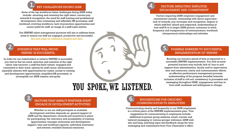#### KEY CHALLENGES FACING IANR

Some of the top workforce/talent challenges facing IANR today include: attracting and retaining the right talent; current pay, rewards & recognition; the need for staff training and professional development; time-consuming and inflexible HR processes; staff workload; evolving workforce; lack of promotion opportunities and career paths for staff; an image of a staff/caste system.

Our INSPIRE talent management practices will aim to address these areas to ensure our staff are engaged, productive and successful. [See next page for additional insights and data.](#page-3-0)



#### EVIDENCE THAT WILL PROVE 'INSPIRE' IS SUCCESSFUL

In order for our stakeholders to believe INSPIRE is successful, you told us that we need: selection and retention of the right talent; less turnover; a staff that feels valued, engaged and committed to their work; options for staff career advancement; equitable salaries with opportunities for raises; access to training and development opportunities; simplified HR processes; to accomplish our IANR mission and goals.

# YOU SPOKE, WE LISTENED.

#### FACTORS THAT IMPACT WHETHER STAFF ENGAGE IN DEVELOPMENT ACTIVITIES

Whether or not our staff participate in available development activities depends on: general support of IANR and the department; rewards and incentives in place for participating; the relevancy and accessibility of training opportunities; manager awareness and development support; time and workload capacity; individual motivation and interest; available financial resources.



### FACTORS IMPACTING EMPLOYEE ENGAGEMENT AND COMMITMENT

Factors impacting IANR employee engagement and commitment include: relationship with direct supervisor; lack of rewards, pay increases and recognition; degree to which staff feel valued and respected; understanding of how staff fit in to larger IANR picture; autonomy in work; frequency and transparency of communication; workload; interpersonal relationships and attitudes.

### POSSIBLE BARRIERS TO SUCCESSFUL IMPLEMENTATION OF 'INSPIRE'

Knowing our barriers ahead of time is important to a successful INSPIRE implementation. You told us some potential barriers may include lack of: buy-in and support from administration, faculty and/or supervisors; time and resources; clarity and communication efforts; an effective performance management process; understanding of the program benefits/rewards; inclusion of staff in roll-out; consistency in processes and messaging throughout IANR; engagement and buy-in from staff; readiness and willingness to change.

#### 6. SUGGESTIONS FOR ONGOING COMMUNICATION TO EMPLOYEES

Communicating clearly and frequently to our IANR employees is a critical piece of the INSPIRE implementation plan. Your suggestions for communicating to employees include: additional in-person group sessions; email; concise and tailored messaging to various groups; webinars; IANR web site and blog; soliciting input and feedback along the way; messaging and commitment from Vice Chancellor's office.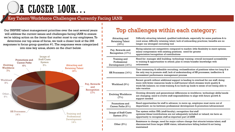# A CLOSER LOOK...

## Key Talent/Workforce Challenges Currently Facing IANR

Our INSPIRE talent management priorities over the next several years will address the current issues and challenges facing IANR to ensure we're taking action on the items that matter most to our employees. To determine our top areas of focus, we took a closer look at the 266 responses to focus group question #1. The responses were categorized into nine key areas, shown on the chart below.

<span id="page-3-0"></span>

# Top challenges within each category:

| Attracting and<br><b>Retaining Talent</b><br>(19%) | Difficulty attracting talented, qualified individuals, especially for some positions & to<br>rural areas; difficulty retaining talent; lack of onboarding practices; benefits are no<br>longer our strongest recruiting tool                                                     |
|----------------------------------------------------|----------------------------------------------------------------------------------------------------------------------------------------------------------------------------------------------------------------------------------------------------------------------------------|
| Pay, Rewards and<br>Recognition (17%)              | Hiring salaries not competitive compared to market; little flexibility in merit options;<br>salary compression with existing positions; need for greater<br>appreciation/recognition of contributions                                                                            |
| Training and<br>Professional<br>Development (14%)  | Need for: manager skill building; technology training; overall increased accessibility<br>to training & opportunities to attend; plan to retain/transfer knowledge with<br>retirements                                                                                           |
| HR Processes $(14%)$                               | Time consuming & inflexible recruiting; reclassification of positions takes too long & is<br>the only way to promote staff; lack of understanding of HR processes; ineffective &<br>inconsistent performance management process                                                  |
| Workload (9%)                                      | Recent growth without additional support is leading to overload for our staff; doing<br>more with fewer resources leads to staff burnout which stresses work quality &<br>work/life balance; no cross-training & no back-up leads to sense of not being able to<br>take vacation |
| <b>Evolving Workforce</b><br>(7%)                  | Growing diversity and generational differences in workforce; technology skills/needs<br>are changing; need to evolve staff responsibilities to align with future growth &<br>support needed                                                                                      |
| Promotions and<br>Career Paths (6%)                | Need opportunities for staff to advance; to move up, employee must move out of<br>department; no tie between professional development & promotion/advancement                                                                                                                    |
| Image of Staff/Caste<br>System $(5%)$              | Tier system within UNL (staff-faculty); recognition that staff<br>opinions/ideas/contributions are not adequately included or valued; we have an<br>opportunity to recognize staff as important part of IANR                                                                     |
| Other $(9%)$                                       | Resistance to change; need for major culture change that attracts/retains talent; staff<br>disconnected from larger IANR vision; infrastructure falling behind & not being<br>maintained                                                                                         |